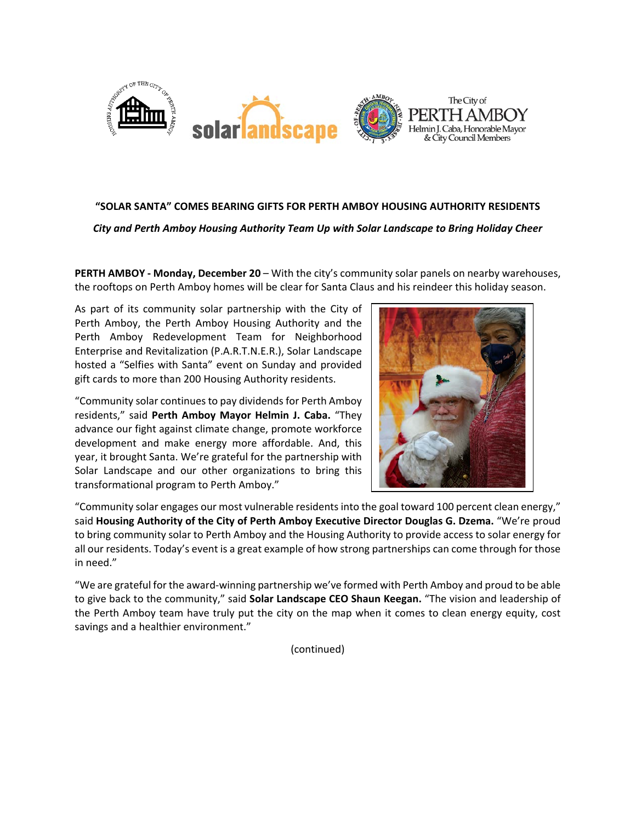

## **"SOLAR SANTA" COMES BEARING GIFTS FOR PERTH AMBOY HOUSING AUTHORITY RESIDENTS**

*City and Perth Amboy Housing Authority Team Up with Solar Landscape to Bring Holiday Cheer*

**PERTH AMBOY - Monday, December 20** – With the city's community solar panels on nearby warehouses, the rooftops on Perth Amboy homes will be clear for Santa Claus and his reindeer this holiday season.

As part of its community solar partnership with the City of Perth Amboy, the Perth Amboy Housing Authority and the Perth Amboy Redevelopment Team for Neighborhood Enterprise and Revitalization (P.A.R.T.N.E.R.), Solar Landscape hosted a "Selfies with Santa" event on Sunday and provided gift cards to more than 200 Housing Authority residents.

"Community solar continues to pay dividends for Perth Amboy residents," said **Perth Amboy Mayor Helmin J. Caba.** "They advance our fight against climate change, promote workforce development and make energy more affordable. And, this year, it brought Santa. We're grateful for the partnership with Solar Landscape and our other organizations to bring this transformational program to Perth Amboy."



"Community solar engages our most vulnerable residentsinto the goal toward 100 percent clean energy," said **Housing Authority of the City of Perth Amboy Executive Director Douglas G. Dzema.** "We're proud to bring community solar to Perth Amboy and the Housing Authority to provide access to solar energy for all our residents. Today's event is a great example of how strong partnerships can come through for those in need."

"We are grateful for the award-winning partnership we've formed with Perth Amboy and proud to be able to give back to the community," said **Solar Landscape CEO Shaun Keegan.** "The vision and leadership of the Perth Amboy team have truly put the city on the map when it comes to clean energy equity, cost savings and a healthier environment."

(continued)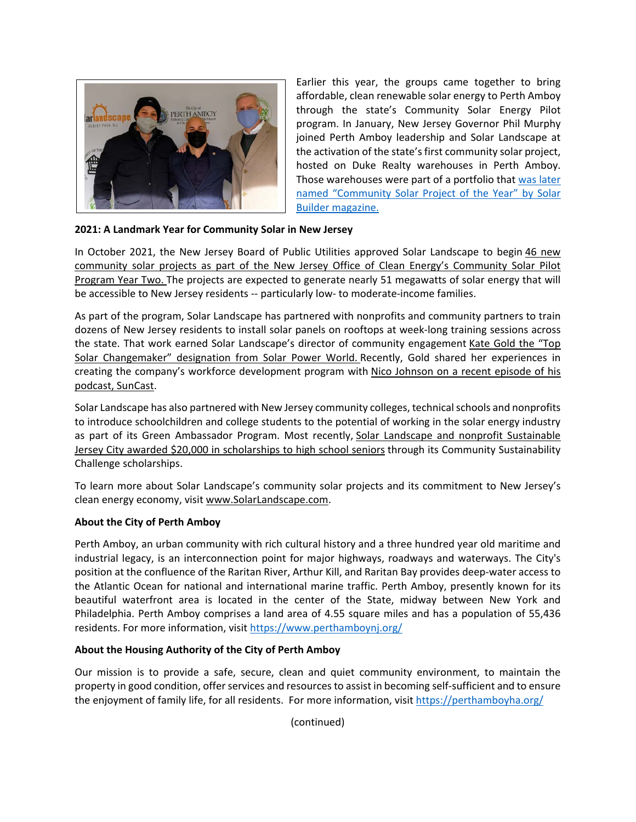

Earlier this year, the groups came together to bring affordable, clean renewable solar energy to Perth Amboy through the state's Community Solar Energy Pilot program. In January, New Jersey Governor Phil Murphy joined Perth Amboy leadership and Solar Landscape at the activation of the state's first community solar project, hosted on Duke Realty warehouses in Perth Amboy. Those warehouses were part of a portfolio that [was later](https://www.solarlandscape.com/news/solar-landscape-and-duke-realty-recognized-as-top-national-community-solar-project-in-solar-builders-2021-project-of-the-year-awards)  [named "Community Solar Project of the Year" by Solar](https://www.solarlandscape.com/news/solar-landscape-and-duke-realty-recognized-as-top-national-community-solar-project-in-solar-builders-2021-project-of-the-year-awards)  [Builder magazine.](https://www.solarlandscape.com/news/solar-landscape-and-duke-realty-recognized-as-top-national-community-solar-project-in-solar-builders-2021-project-of-the-year-awards)

# **2021: A Landmark Year for Community Solar in New Jersey**

In October 2021, the New Jersey Board of Public Utilities approved Solar Landscape to begin [46 new](https://www.solarlandscape.com/news/solar-landscape-approved-to-begin-46-new-community-solar-projects-across-new-jersey)  [community solar projects as part of the New Jersey Office of Clean Energy's Community Solar Pilot](https://www.solarlandscape.com/news/solar-landscape-approved-to-begin-46-new-community-solar-projects-across-new-jersey)  [Program Year Two.](https://www.solarlandscape.com/news/solar-landscape-approved-to-begin-46-new-community-solar-projects-across-new-jersey) The projects are expected to generate nearly 51 megawatts of solar energy that will be accessible to New Jersey residents -- particularly low- to moderate-income families.

As part of the program, Solar Landscape has partnered with nonprofits and community partners to train dozens of New Jersey residents to install solar panels on rooftops at week-long training sessions across the state. That work earned Solar Landscape's director of community engagement [Kate Gold the "Top](https://www.solarpowerworldonline.com/2021/07/2021-top-solar-changemaker-kg/)  [Solar Changemaker" designation from Solar Power World.](https://www.solarpowerworldonline.com/2021/07/2021-top-solar-changemaker-kg/) Recently, Gold shared her experiences in creating the company's workforce development program with [Nico Johnson on a recent episode of his](https://mysuncast.com/suncast-episodes/408)  [podcast, SunCast.](https://mysuncast.com/suncast-episodes/408)

Solar Landscape has also partnered with New Jersey community colleges, technical schools and nonprofits to introduce schoolchildren and college students to the potential of working in the solar energy industry as part of its Green Ambassador Program. Most recently, [Solar Landscape and nonprofit Sustainable](https://www.solarlandscape.com/news/solar-landscape-and-sustainable-jersey-city-partner-to-award-20-000-in-community-sustainability-challenge-scholarships)  [Jersey City awarded \\$20,000 in scholarships to high school seniors](https://www.solarlandscape.com/news/solar-landscape-and-sustainable-jersey-city-partner-to-award-20-000-in-community-sustainability-challenge-scholarships) through its Community Sustainability Challenge scholarships.

To learn more about Solar Landscape's community solar projects and its commitment to New Jersey's clean energy economy, visit [www.SolarLandscape.com.](http://www.solarlandscape.com/)

## **About the City of Perth Amboy**

Perth Amboy, an urban community with rich cultural history and a three hundred year old maritime and industrial legacy, is an interconnection point for major highways, roadways and waterways. The City's position at the confluence of the Raritan River, Arthur Kill, and Raritan Bay provides deep-water access to the Atlantic Ocean for national and international marine traffic. Perth Amboy, presently known for its beautiful waterfront area is located in the center of the State, midway between New York and Philadelphia. Perth Amboy comprises a land area of 4.55 square miles and has a population of 55,436 residents. For more information, visit<https://www.perthamboynj.org/>

## **About the Housing Authority of the City of Perth Amboy**

Our mission is to provide a safe, secure, clean and quiet community environment, to maintain the property in good condition, offer services and resources to assist in becoming self-sufficient and to ensure the enjoyment of family life, for all residents. For more information, visi[t https://perthamboyha.org/](https://perthamboyha.org/)

(continued)